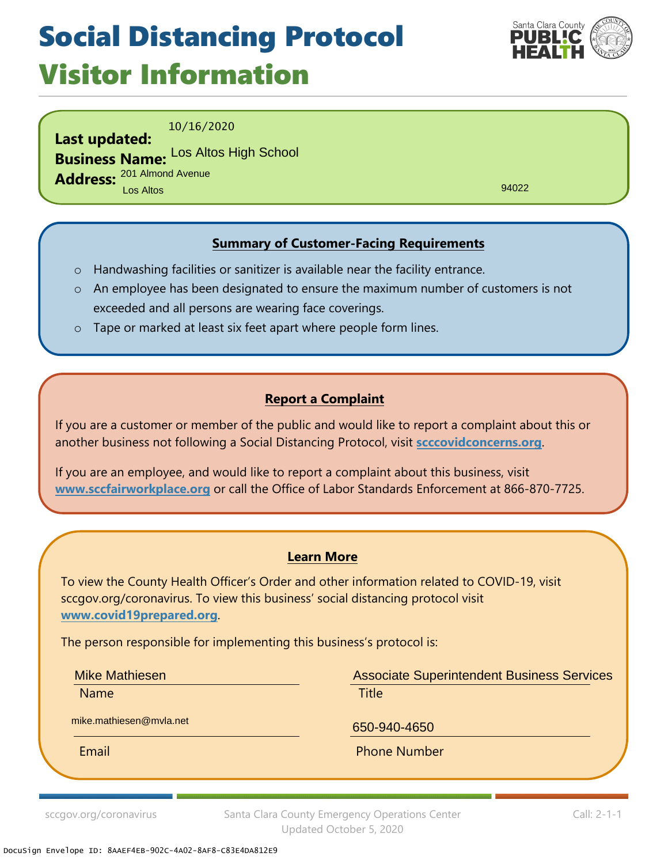## Social Distancing Protocol Visitor Information



10/16/2020

**Last updated: Business Name:** Los Altos High School **Address:** 201 Almond Avenue Los Altos

94022

### **Summary of Customer-Facing Requirements**

- o Handwashing facilities or sanitizer is available near the facility entrance.
- o An employee has been designated to ensure the maximum number of customers is not exceeded and all persons are wearing face coverings.
- o Tape or marked at least six feet apart where people form lines.

#### **Report a Complaint**

If you are a customer or member of the public and would like to report a complaint about this or another business not following a Social Distancing Protocol, visit **scccovidconcerns.org**.

If you are an employee, and would like to report a complaint about this business, visit **www.sccfairworkplace.org** or call the Office of Labor Standards Enforcement at 866-870-7725.

#### **Learn More**

To view the County Health Officer's Order and other information related to COVID-19, visit sccgov.org/coronavirus. To view this business' social distancing protocol visit **www.covid19prepared.org**.

The person responsible for implementing this business's protocol is:

Mike Mathiesen

Name **Name is a structure of the Contract Contract Contract Contract Contract Contract Contract Contract Contra** 

Associate Superintendent Business Services

mike.mathiesen@mvla.net

650-940-4650

Email **Email** Phone Number

sccgov.org/coronavirus Santa Clara County Emergency Operations Center Updated October 5, 2020